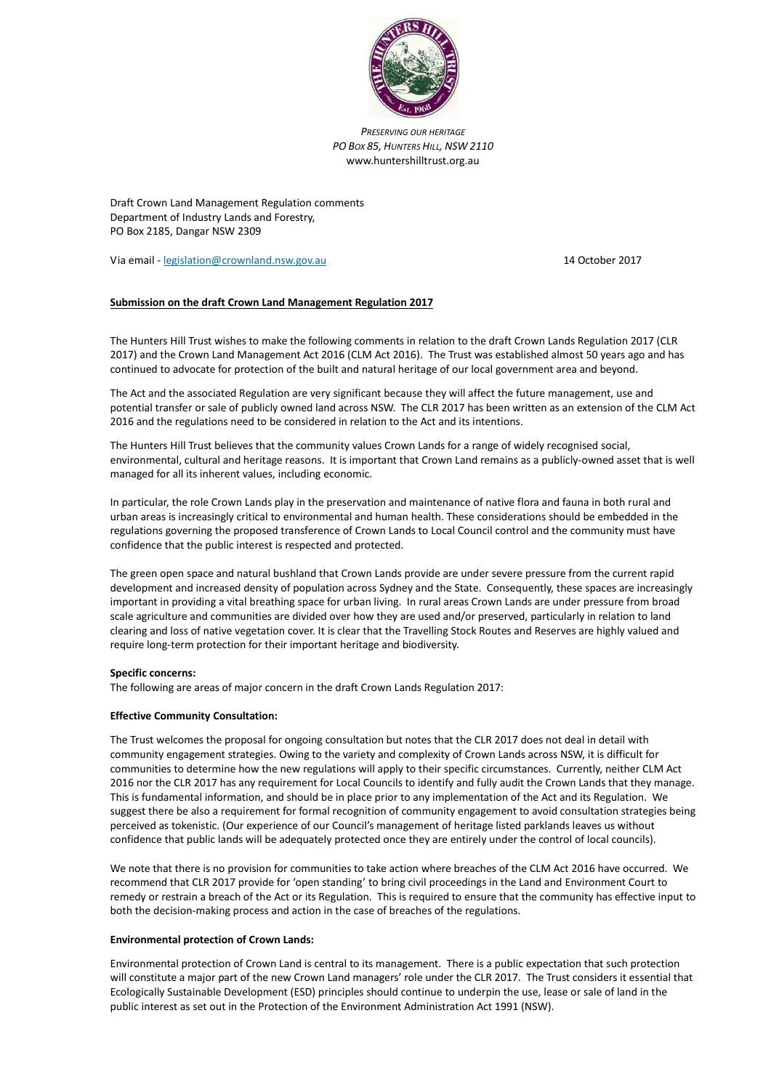

*PRESERVING OUR HERITAGE PO BOX 85, HUNTERS HILL, NSW 2110* www.huntershilltrust.org.au

Draft Crown Land Management Regulation comments Department of Industry Lands and Forestry, PO Box 2185, Dangar NSW 2309

Via email - [legislation@crownland.nsw.gov.au](mailto:legislation@crownland.nsw.gov.au) 14 October 2017

# **Submission on the draft Crown Land Management Regulation 2017**

The Hunters Hill Trust wishes to make the following comments in relation to the draft Crown Lands Regulation 2017 (CLR 2017) and the Crown Land Management Act 2016 (CLM Act 2016). The Trust was established almost 50 years ago and has continued to advocate for protection of the built and natural heritage of our local government area and beyond.

The Act and the associated Regulation are very significant because they will affect the future management, use and potential transfer or sale of publicly owned land across NSW. The CLR 2017 has been written as an extension of the CLM Act 2016 and the regulations need to be considered in relation to the Act and its intentions.

The Hunters Hill Trust believes that the community values Crown Lands for a range of widely recognised social, environmental, cultural and heritage reasons. It is important that Crown Land remains as a publicly-owned asset that is well managed for all its inherent values, including economic.

In particular, the role Crown Lands play in the preservation and maintenance of native flora and fauna in both rural and urban areas is increasingly critical to environmental and human health. These considerations should be embedded in the regulations governing the proposed transference of Crown Lands to Local Council control and the community must have confidence that the public interest is respected and protected.

The green open space and natural bushland that Crown Lands provide are under severe pressure from the current rapid development and increased density of population across Sydney and the State. Consequently, these spaces are increasingly important in providing a vital breathing space for urban living. In rural areas Crown Lands are under pressure from broad scale agriculture and communities are divided over how they are used and/or preserved, particularly in relation to land clearing and loss of native vegetation cover. It is clear that the Travelling Stock Routes and Reserves are highly valued and require long-term protection for their important heritage and biodiversity.

## **Specific concerns:**

The following are areas of major concern in the draft Crown Lands Regulation 2017:

## **Effective Community Consultation:**

The Trust welcomes the proposal for ongoing consultation but notes that the CLR 2017 does not deal in detail with community engagement strategies. Owing to the variety and complexity of Crown Lands across NSW, it is difficult for communities to determine how the new regulations will apply to their specific circumstances. Currently, neither CLM Act 2016 nor the CLR 2017 has any requirement for Local Councils to identify and fully audit the Crown Lands that they manage. This is fundamental information, and should be in place prior to any implementation of the Act and its Regulation. We suggest there be also a requirement for formal recognition of community engagement to avoid consultation strategies being perceived as tokenistic. (Our experience of our Council's management of heritage listed parklands leaves us without confidence that public lands will be adequately protected once they are entirely under the control of local councils).

We note that there is no provision for communities to take action where breaches of the CLM Act 2016 have occurred. We recommend that CLR 2017 provide for 'open standing' to bring civil proceedings in the Land and Environment Court to remedy or restrain a breach of the Act or its Regulation. This is required to ensure that the community has effective input to both the decision-making process and action in the case of breaches of the regulations.

## **Environmental protection of Crown Lands:**

Environmental protection of Crown Land is central to its management. There is a public expectation that such protection will constitute a major part of the new Crown Land managers' role under the CLR 2017. The Trust considers it essential that Ecologically Sustainable Development (ESD) principles should continue to underpin the use, lease or sale of land in the public interest as set out in the Protection of the Environment Administration Act 1991 (NSW).